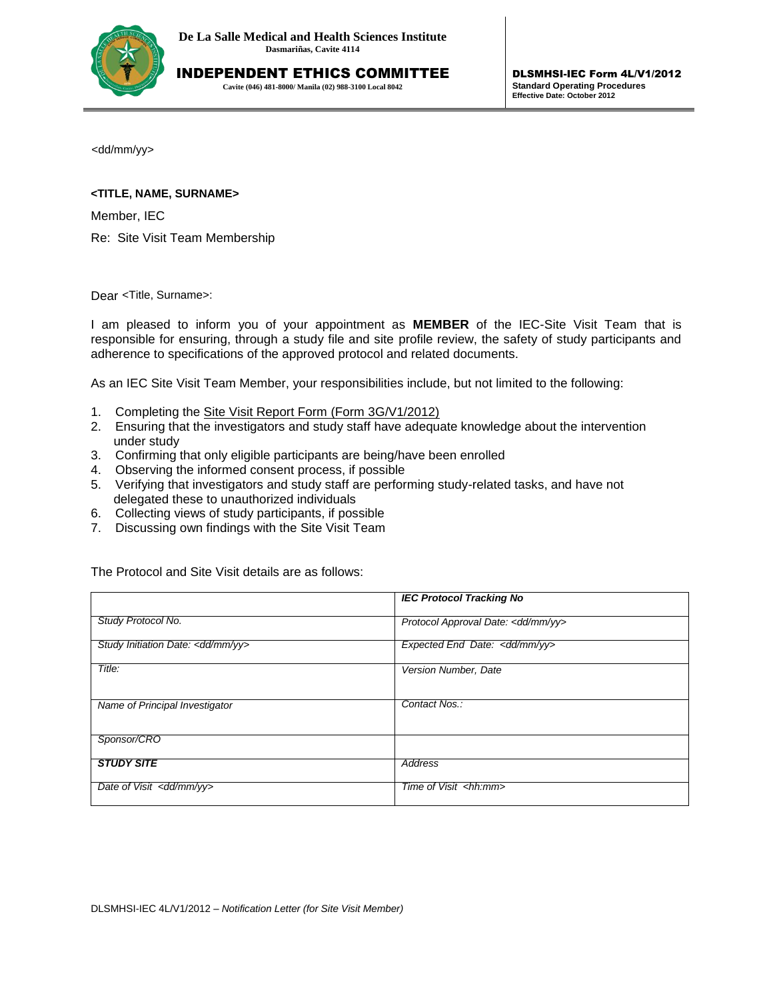

INDEPENDENT ETHICS COMMITTEE

**Cavite (046) 481-8000/ Manila (02) 988-3100 Local 8042**

<dd/mm/yy>

## **<TITLE, NAME, SURNAME>**

Member, IEC

Re: Site Visit Team Membership

Dear <Title, Surname>:

I am pleased to inform you of your appointment as **MEMBER** of the IEC-Site Visit Team that is responsible for ensuring, through a study file and site profile review, the safety of study participants and adherence to specifications of the approved protocol and related documents.

As an IEC Site Visit Team Member, your responsibilities include, but not limited to the following:

- 1. Completing the Site Visit Report Form (Form 3G/V1/2012)
- 2. Ensuring that the investigators and study staff have adequate knowledge about the intervention under study
- 3. Confirming that only eligible participants are being/have been enrolled
- 4. Observing the informed consent process, if possible
- 5. Verifying that investigators and study staff are performing study-related tasks, and have not delegated these to unauthorized individuals
- 6. Collecting views of study participants, if possible
- 7. Discussing own findings with the Site Visit Team

The Protocol and Site Visit details are as follows:

|                                              | <b>IEC Protocol Tracking No</b>          |
|----------------------------------------------|------------------------------------------|
| Study Protocol No.                           | Protocol Approval Date: < dd/mm/yy>      |
| Study Initiation Date: <dd mm="" yy=""></dd> | Expected End Date: <dd mm="" yy=""></dd> |
| Title:                                       | Version Number, Date                     |
| Name of Principal Investigator               | Contact Nos.:                            |
| Sponsor/CRO                                  |                                          |
| <b>STUDY SITE</b>                            | Address                                  |
| Date of Visit <dd mm="" yy=""></dd>          | Time of Visit <hh:mm></hh:mm>            |